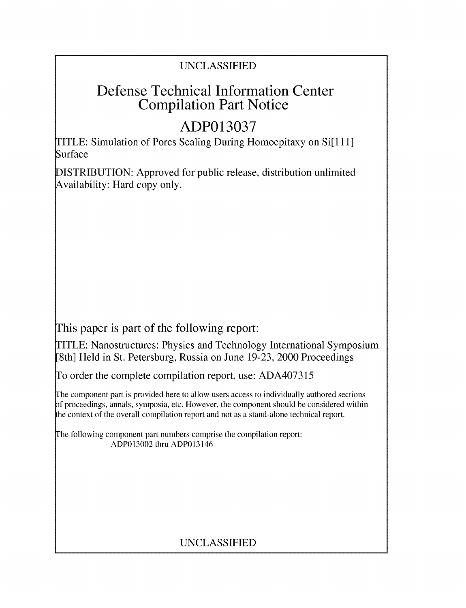### UNCLASSIFIED

## Defense Technical Information Center Compilation Part Notice

# **ADP013037**

TITLE: Simulation of Pores Sealing During Homoepitaxy on Si[1 11] Surface

DISTRIBUTION: Approved for public release, distribution unlimited Availability: Hard copy only.

This paper is part of the following report:

TITLE: Nanostructures: Physics and Technology International Symposium [8th] Held in St. Petersburg, Russia on June 19-23, 2000 Proceedings

To order the complete compilation report, use: ADA407315

The component part is provided here to allow users access to individually authored sections f proceedings, annals, symposia, etc. However, the component should be considered within the context of the overall compilation report and not as a stand-alone technical report.

The following component part numbers comprise the compilation report: ADP013002 thru ADP013146

### UNCLASSIFIED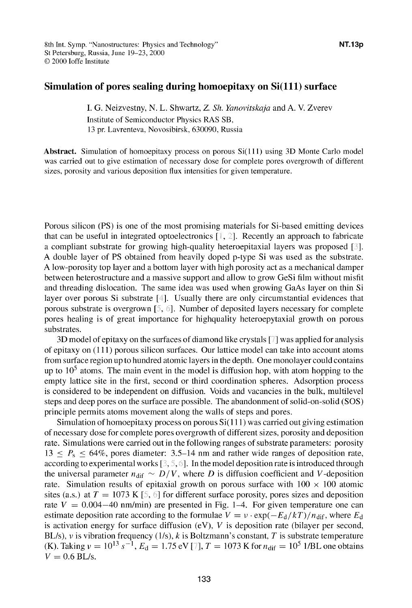#### Simulation of pores sealing during homoepitaxy on Si(111) surface

I. **G.** Neizvestny, N. L. Shwartz, *Z. Sh. Yanovitskaja* and A. V. Zverev Institute of Semiconductor Physics RAS SB, 13 pr. Lavrenteva, Novosibirsk, 630090, Russia

Abstract. Simulation of homoepitaxy process on porous Si( **111)** using 3D Monte Carlo model was carried out to give estimation of necessary dose for complete pores overgrowth of different sizes, porosity and various deposition flux intensities for given temperature.

Porous silicon (PS) is one of the most promising materials for Si-based emitting devices that can be useful in integrated optoelectronics  $[\cdot, 2]$ . Recently an approach to fabricate a compliant substrate for growing high-quality heteroepitaxial layers was proposed **[ ].** "A double layer of PS obtained from heavily doped p-type Si was used as the substrate. "A low-porosity top layer and a bottom layer with high porosity act as a mechanical damper between heterostructure and a massive support and allow to grow GeSi film without misfit and threading dislocation. The same idea was used when growing GaAs layer on thin Si layer over porous Si substrate [4]. Usually there are only circumstantial evidences that porous substrate is overgrown  $\lbrack 5, 6\rbrack$ . Number of deposited layers necessary for complete pores healing is of great importance for highquality heteroepytaxial growth on porous substrates.

3D model of epitaxy on the surfaces of diamond like crystals **I]** was applied for analysis of epitaxy on (111) porous silicon surfaces. Our lattice model can take into account atoms from surface region up to hundred atomic layers in the depth. One monolayer could contains up to **105** atoms. The main event in the model is diffusion hop, with atom hopping to the empty lattice site in the first, second or third coordination spheres. Adsorption process is considered to be independent on diffusion. Voids and vacancies in the bulk, multilevel steps and deep pores on the surface are possible. The abandonment of solid-on-solid (SOS) principle permits atoms movement along the walls of steps and pores.

Simulation of homoepitaxy process on porous  $Si(111)$  was carried out giving estimation of necessary dose for complete pores overgrowth of different sizes, porosity and deposition rate. Simulations were carried out in the following ranges of substrate parameters: porosity  $13 \le P_s \le 64\%$ , pores diameter: 3.5–14 nm and rather wide ranges of deposition rate, according to experimental works  $[3, 5, 6]$ . In the model deposition rate is introduced through the universal parameter  $n_{\text{dif}} \sim D/V$ , where D is diffusion coefficient and V-deposition rate. Simulation results of epitaxial growth on porous surface with  $100 \times 100$  atomic sites (a.s.) at  $T = 1073$  K [5, 6] for different surface porosity, pores sizes and deposition rate  $V = 0.004-40$  nm/min) are presented in Fig. 1–4. For given temperature one can estimate deposition rate according to the formulae  $V = v \cdot \exp(-E_d/kT)/n_{\text{dif}}$ , where  $E_d$ is activation energy for surface diffusion  $(eV)$ ,  $V$  is deposition rate (bilayer per second, BL/s), *v* is vibration frequency (1/s), *k* is Boltzmann's constant, *T* is substrate temperature (K). Taking  $v = 10^{13} s^{-1}$ ,  $E_d = 1.75 \text{ eV}$  [7],  $T = 1073 \text{ K}$  for  $n_{\text{dif}} = 10^5 \text{ 1/BL}$  one obtains  $V = 0.6$  BL/s.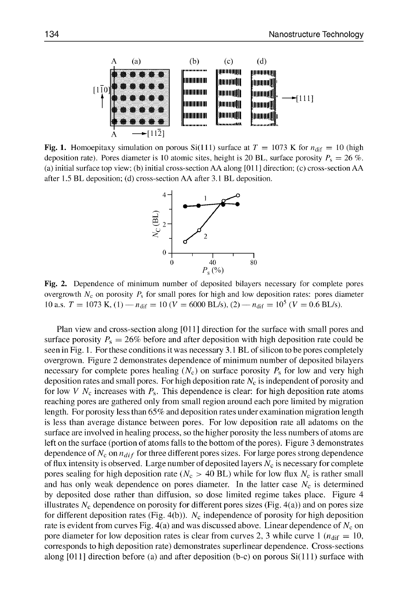

Fig. 1. Homoepitaxy simulation on porous Si(111) surface at  $T = 1073$  K for  $n_{\text{dif}} = 10$  (high deposition rate). Pores diameter is 10 atomic sites, height is 20 BL, surface porosity  $P_s = 26\%$ . (a) initial surface top view; (b) initial cross-section AA along **[011** ] direction; (c) cross-section AA after 1.5 BL deposition; (d) cross-section AA after 3.1 BL deposition.



Fig. 2. Dependence of minimum number of deposited bilayers necessary for complete pores overgrowth  $N_c$  on porosity  $P_s$  for small pores for high and low deposition rates: pores diameter 10 a.s.  $T = 1073$  K, (1)  $- n_{\text{dif}} = 10$  ( $V = 6000$  BL/s), (2)  $- n_{\text{dif}} = 10^5$  ( $V = 0.6$  BL/s).

Plan view and cross-section along [011] direction for the surface with small pores and surface porosity  $P_s = 26\%$  before and after deposition with high deposition rate could be seen in Fig. 1. For these conditions it was necessary 3.1 BL of silicon to be pores completely overgrown. Figure 2 demonstrates dependence of minimum number of deposited bilayers necessary for complete pores healing  $(N_c)$  on surface porosity  $P_s$  for low and very high deposition rates and small pores. For high deposition rate  $N_c$  is independent of porosity and for low V  $N_c$  increases with  $P_s$ . This dependence is clear: for high deposition rate atoms reaching pores are gathered only from small region around each pore limited by migration length. For porosity less than **65%** and deposition rates under examination migration length is less than average distance between pores. For low deposition rate all adatoms on the surface are involved in healing process, so the higher porosity the less numbers of atoms are left on the surface (portion of atoms falls to the bottom of the pores). Figure 3 demonstrates dependence of  $N_c$  on  $n_{dif}$  for three different pores sizes. For large pores strong dependence of flux intensity is observed. Large number of deposited layers  $N_c$  is necessary for complete pores sealing for high deposition rate ( $N_c > 40$  BL) while for low flux  $N_c$  is rather small and has only weak dependence on pores diameter. In the latter case  $N_c$  is determined by deposited dose rather than diffusion, so dose limited regime takes place. Figure 4 illustrates  $N_c$  dependence on porosity for different pores sizes (Fig.  $4(a)$ ) and on pores size for different deposition rates (Fig. 4(b)).  $N_c$  independence of porosity for high deposition rate is evident from curves Fig.  $4(a)$  and was discussed above. Linear dependence of  $N_c$  on pore diameter for low deposition rates is clear from curves 2, 3 while curve  $1 \left( n_{\text{dif}} = 10 \right)$ , corresponds to high deposition rate) demonstrates superlinear dependence. Cross-sections along  $[011]$  direction before (a) and after deposition (b-c) on porous  $Si(111)$  surface with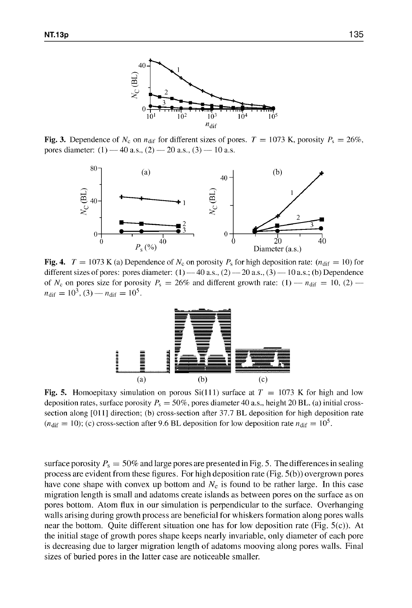

Fig. 3. Dependence of  $N_c$  on  $n_{\text{dif}}$  for different sizes of pores.  $T = 1073$  K, porosity  $P_s = 26\%$ , pores diameter:  $(1)$  - 40 a.s.,  $(2)$  - 20 a.s.,  $(3)$  - 10 a.s.



Fig. 4.  $T = 1073$  K (a) Dependence of  $N_c$  on porosity  $P_s$  for high deposition rate: ( $n_{\text{dif}} = 10$ ) for different sizes of pores: pores diameter:  $(1) -40$  a.s.,  $(2) -20$  a.s.,  $(3) -10$  a.s.; (b) Dependence of  $N_c$  on pores size for porosity  $P_s = 26\%$  and different growth rate: (1)  $- n_{\text{dif}} = 10$ , (2)  $$  $n_{\text{dif}} = 10^3$ , (3) —  $n_{\text{dif}} = 10^5$ .



Fig. 5. Homoepitaxy simulation on porous Si(111) surface at  $T = 1073$  K for high and low deposition rates, surface porosity  $P_s = 50\%$ , pores diameter 40 a.s., height 20 BL. (a) initial crosssection along [011] direction; (b) cross-section after 37.7 BL deposition for high deposition rate  $(n_{\text{dif}} = 10)$ ; (c) cross-section after 9.6 BL deposition for low deposition rate  $n_{\text{dif}} = 10^5$ .

surface porosity  $P_s = 50\%$  and large pores are presented in Fig. 5. The differences in sealing process are evident from these figures. For high deposition rate (Fig. 5(b)) overgrown pores have cone shape with convex up bottom and  $N_c$  is found to be rather large. In this case migration length is small and adatoms create islands as between pores on the surface as on pores bottom. Atom flux in our simulation is perpendicular to the surface. Overhanging walls arising during growth process are beneficial for whiskers formation along pores walls near the bottom. Quite different situation one has for low deposition rate (Fig. 5(c)). At the initial stage of growth pores shape keeps nearly invariable, only diameter of each pore is decreasing due to larger migration length of adatoms mooving along pores walls. Final sizes of buried pores in the latter case are noticeable smaller.